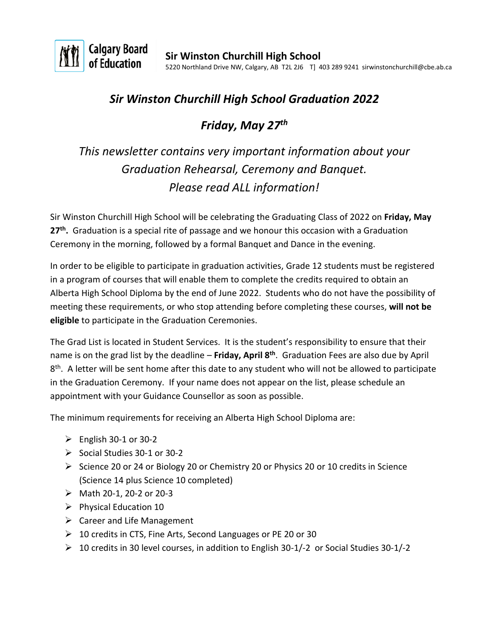

## *Sir Winston Churchill High School Graduation 2022*

## *Friday, May 27 th*

# *This newsletter contains very important information about your Graduation Rehearsal, Ceremony and Banquet. Please read ALL information!*

Sir Winston Churchill High School will be celebrating the Graduating Class of 2022 on **Friday, May 27 th .** Graduation is a special rite of passage and we honour this occasion with a Graduation Ceremony in the morning, followed by a formal Banquet and Dance in the evening.

In order to be eligible to participate in graduation activities, Grade 12 students must be registered in a program of courses that will enable them to complete the credits required to obtain an Alberta High School Diploma by the end of June 2022. Students who do not have the possibility of meeting these requirements, or who stop attending before completing these courses, **will not be eligible** to participate in the Graduation Ceremonies.

The Grad List is located in Student Services. It is the student's responsibility to ensure that their name is on the grad list by the deadline – **Friday, April 8th** . Graduation Fees are also due by April 8<sup>th</sup>. A letter will be sent home after this date to any student who will not be allowed to participate in the Graduation Ceremony. If your name does not appear on the list, please schedule an appointment with your Guidance Counsellor as soon as possible.

The minimum requirements for receiving an Alberta High School Diploma are:

- $\triangleright$  English 30-1 or 30-2
- $\triangleright$  Social Studies 30-1 or 30-2
- $\triangleright$  Science 20 or 24 or Biology 20 or Chemistry 20 or Physics 20 or 10 credits in Science (Science 14 plus Science 10 completed)
- $\triangleright$  Math 20-1, 20-2 or 20-3
- $\triangleright$  Physical Education 10
- $\triangleright$  Career and Life Management
- 10 credits in CTS, Fine Arts, Second Languages or PE 20 or 30
- $\triangleright$  10 credits in 30 level courses, in addition to English 30-1/-2 or Social Studies 30-1/-2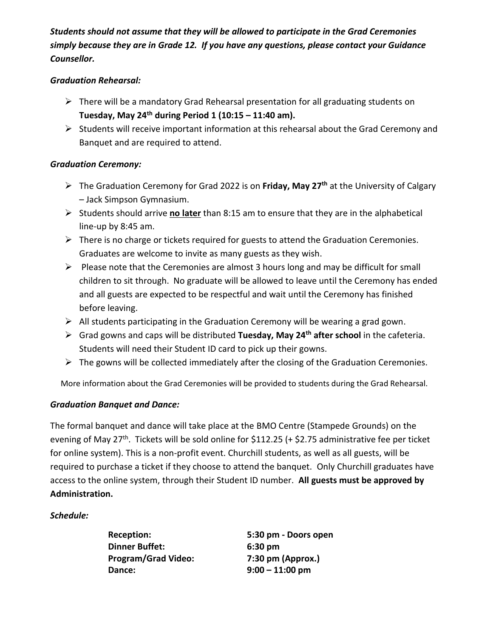*Students should not assume that they will be allowed to participate in the Grad Ceremonies simply because they are in Grade 12. If you have any questions, please contact your Guidance Counsellor.*

#### *Graduation Rehearsal:*

- There will be a mandatory Grad Rehearsal presentation for all graduating students on **Tuesday, May 24th during Period 1 (10:15 – 11:40 am).**
- $\triangleright$  Students will receive important information at this rehearsal about the Grad Ceremony and Banquet and are required to attend.

#### *Graduation Ceremony:*

- The Graduation Ceremony for Grad 2022 is on **Friday, May 27 th** at the University of Calgary – Jack Simpson Gymnasium.
- Students should arrive **no later** than 8:15 am to ensure that they are in the alphabetical line-up by 8:45 am.
- $\triangleright$  There is no charge or tickets required for guests to attend the Graduation Ceremonies. Graduates are welcome to invite as many guests as they wish.
- $\triangleright$  Please note that the Ceremonies are almost 3 hours long and may be difficult for small children to sit through. No graduate will be allowed to leave until the Ceremony has ended and all guests are expected to be respectful and wait until the Ceremony has finished before leaving.
- $\triangleright$  All students participating in the Graduation Ceremony will be wearing a grad gown.
- Grad gowns and caps will be distributed **Tuesday, May 24th after school** in the cafeteria. Students will need their Student ID card to pick up their gowns.
- $\triangleright$  The gowns will be collected immediately after the closing of the Graduation Ceremonies.

More information about the Grad Ceremonies will be provided to students during the Grad Rehearsal.

#### *Graduation Banquet and Dance:*

The formal banquet and dance will take place at the BMO Centre (Stampede Grounds) on the evening of May 27<sup>th</sup>. Tickets will be sold online for \$112.25 (+ \$2.75 administrative fee per ticket for online system). This is a non-profit event. Churchill students, as well as all guests, will be required to purchase a ticket if they choose to attend the banquet. Only Churchill graduates have access to the online system, through their Student ID number. **All guests must be approved by Administration.**

#### *Schedule:*

**Dinner Buffet: 6:30 pm Program/Grad Video: 7:30 pm (Approx.) Dance: 9:00 – 11:00 pm**

**Reception: 5:30 pm - Doors open**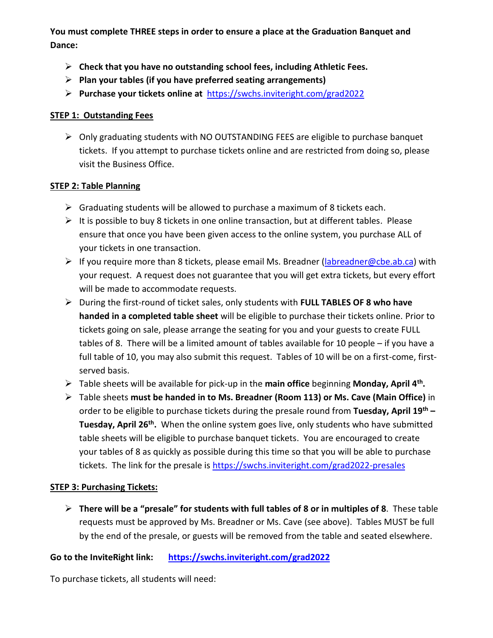**You must complete THREE steps in order to ensure a place at the Graduation Banquet and Dance:**

- **Check that you have no outstanding school fees, including Athletic Fees.**
- **Plan your tables (if you have preferred seating arrangements)**
- **Purchase your tickets online at** [https://swchs.inviteright.com/grad2022](https://swchs.inviteright.com/grad2020)

#### **STEP 1: Outstanding Fees**

 $\triangleright$  Only graduating students with NO OUTSTANDING FEES are eligible to purchase banquet tickets. If you attempt to purchase tickets online and are restricted from doing so, please visit the Business Office.

#### **STEP 2: Table Planning**

- $\triangleright$  Graduating students will be allowed to purchase a maximum of 8 tickets each.
- $\triangleright$  It is possible to buy 8 tickets in one online transaction, but at different tables. Please ensure that once you have been given access to the online system, you purchase ALL of your tickets in one transaction.
- If you require more than 8 tickets, please email Ms. Breadner ( $\frac{1}{\text{abreadner}\omega \text{cbe}.\text{ab.ca}}$ ) with your request. A request does not guarantee that you will get extra tickets, but every effort will be made to accommodate requests.
- During the first-round of ticket sales, only students with **FULL TABLES OF 8 who have handed in a completed table sheet** will be eligible to purchase their tickets online. Prior to tickets going on sale, please arrange the seating for you and your guests to create FULL tables of 8. There will be a limited amount of tables available for 10 people – if you have a full table of 10, you may also submit this request. Tables of 10 will be on a first-come, firstserved basis.
- Table sheets will be available for pick-up in the **main office** beginning **Monday, April 4th .**
- Table sheets **must be handed in to Ms. Breadner (Room 113) or Ms. Cave (Main Office)** in order to be eligible to purchase tickets during the presale round from **Tuesday, April 19th – Tuesday, April 26th .** When the online system goes live, only students who have submitted table sheets will be eligible to purchase banquet tickets. You are encouraged to create your tables of 8 as quickly as possible during this time so that you will be able to purchase tickets. The link for the presale is<https://swchs.inviteright.com/grad2022-presales>

#### **STEP 3: Purchasing Tickets:**

 **There will be a "presale" for students with full tables of 8 or in multiples of 8**. These table requests must be approved by Ms. Breadner or Ms. Cave (see above). Tables MUST be full by the end of the presale, or guests will be removed from the table and seated elsewhere.

#### **Go to the InviteRight link: <https://swchs.inviteright.com/grad2022>**

To purchase tickets, all students will need: